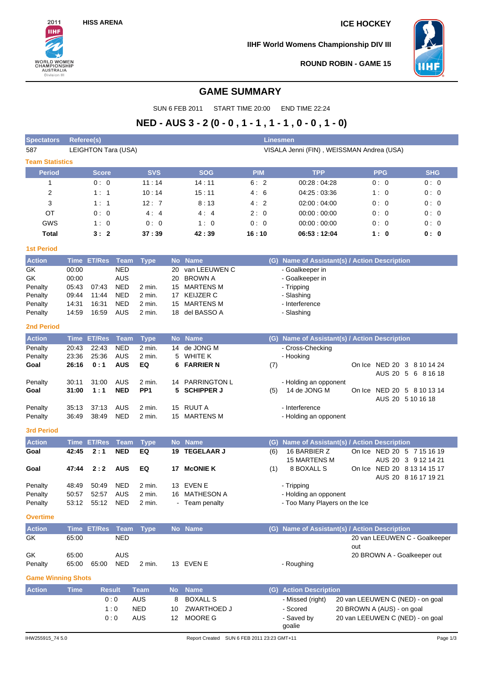$2011$ **IIHF** 

**WORLD WOMEN<br>CHAMPIONSHIP<br>AUSTRALIA<br>Division III** 

# **HISS ARENA ICE HOCKEY**

**IIHF World Womens Championship DIV III**



**ROUND ROBIN - GAME 15**

## **GAME SUMMARY**

SUN 6 FEB 2011 START TIME 20:00 END TIME 22:24

# **NED - AUS 3 - 2 (0 - 0 , 1 - 1 , 1 - 1 , 0 - 0 , 1 - 0)**

| <b>Spectators</b>         |             | Linesmen<br>Referee(s) |             |                  |           |                                           |            |                                       |                                               |  |  |  |
|---------------------------|-------------|------------------------|-------------|------------------|-----------|-------------------------------------------|------------|---------------------------------------|-----------------------------------------------|--|--|--|
| 587                       |             | LEIGHTON Tara (USA)    |             |                  |           | VISALA Jenni (FIN), WEISSMAN Andrea (USA) |            |                                       |                                               |  |  |  |
| <b>Team Statistics</b>    |             |                        |             |                  |           |                                           |            |                                       |                                               |  |  |  |
| <b>Period</b>             |             | <b>Score</b>           |             | <b>SVS</b>       |           | <b>SOG</b>                                | <b>PIM</b> | <b>TPP</b>                            | <b>SHG</b><br><b>PPG</b>                      |  |  |  |
| 1                         |             | 0:0                    |             | 11:14            |           | 14:11                                     | 6:2        | 00:28:04:28                           | 0:0<br>0:0                                    |  |  |  |
| 2                         |             | 1:1                    |             | 10:14            |           | 15:11                                     | 4:6        | 04:25:03:36                           | 1:0<br>0:0                                    |  |  |  |
| 3                         |             | 1:1                    |             | 12:7             |           | 8:13                                      | 4:2        | 02:00:04:00                           | 0:0<br>0:0                                    |  |  |  |
| ОT                        |             | 0:0                    |             | 4:4              |           | 4:4                                       | 2:0        | 00:00:00:00                           | 0:0<br>0:0                                    |  |  |  |
| GWS                       |             | 1:0                    |             | 0:0              |           | 1:0                                       | 0:0        | 00:00:00:00                           | 0:0<br>0:0                                    |  |  |  |
| <b>Total</b>              |             | 3:2                    |             | 37:39            |           | 42:39                                     | 16:10      | 06:53:12:04                           | 1:0<br>0: 0                                   |  |  |  |
| <b>1st Period</b>         |             |                        |             |                  |           |                                           |            |                                       |                                               |  |  |  |
| <b>Action</b>             |             | Time ET/Res            | Team        | <b>Type</b>      |           | No Name                                   |            |                                       | (G) Name of Assistant(s) / Action Description |  |  |  |
| GK                        | 00:00       |                        | <b>NED</b>  |                  | 20        | van LEEUWEN C                             |            | - Goalkeeper in                       |                                               |  |  |  |
| GK                        | 00:00       |                        | <b>AUS</b>  |                  | 20        | <b>BROWN A</b>                            |            | - Goalkeeper in                       |                                               |  |  |  |
| Penalty                   | 05:43       | 07:43                  | <b>NED</b>  | 2 min.           | 15        | MARTENS M                                 |            | - Tripping                            |                                               |  |  |  |
| Penalty                   | 09:44       | 11:44                  | <b>NED</b>  | 2 min.           | 17        | <b>KEIJZER C</b>                          |            | - Slashing                            |                                               |  |  |  |
| Penalty                   | 14:31       | 16:31                  | <b>NED</b>  | 2 min.<br>2 min. | 15        | <b>MARTENS M</b>                          |            | - Interference                        |                                               |  |  |  |
| Penalty                   | 14:59       | 16:59                  | AUS         |                  | 18        | del BASSO A                               |            | - Slashing                            |                                               |  |  |  |
| <b>2nd Period</b>         |             |                        |             |                  |           |                                           |            |                                       |                                               |  |  |  |
| <b>Action</b>             |             | <b>Time ET/Res</b>     | <b>Team</b> | <b>Type</b>      |           | No Name                                   |            |                                       | (G) Name of Assistant(s) / Action Description |  |  |  |
| Penalty                   | 20:43       | 22:43                  | <b>NED</b>  | 2 min.           |           | 14 de JONG M                              |            | - Cross-Checking                      |                                               |  |  |  |
| Penalty                   | 23:36       | 25:36                  | AUS         | 2 min.           | 5         | <b>WHITE K</b>                            |            | - Hooking                             |                                               |  |  |  |
| Goal                      | 26:16       | 0:1                    | <b>AUS</b>  | EQ               | 6         | <b>FARRIER N</b>                          | (7)        |                                       | On Ice NED 20 3 8 10 14 24                    |  |  |  |
|                           | 30:11       | 31:00                  | AUS         | 2 min.           |           | 14 PARRINGTON L                           |            |                                       | AUS 20 5 6 8 16 18                            |  |  |  |
| Penalty<br>Goal           | 31:00       | 1:1                    | <b>NED</b>  | PP <sub>1</sub>  | 5         | <b>SCHIPPER J</b>                         | (5)        | - Holding an opponent<br>14 de JONG M | On Ice NED 20 5 8 10 13 14                    |  |  |  |
|                           |             |                        |             |                  |           |                                           |            |                                       | AUS 20 5 10 16 18                             |  |  |  |
| Penalty                   | 35:13       | 37:13                  | AUS         | 2 min.           | 15        | <b>RUUT A</b>                             |            | - Interference                        |                                               |  |  |  |
| Penalty                   | 36:49       | 38:49                  | <b>NED</b>  | 2 min.           |           | 15 MARTENS M                              |            | - Holding an opponent                 |                                               |  |  |  |
| <b>3rd Period</b>         |             |                        |             |                  |           |                                           |            |                                       |                                               |  |  |  |
| <b>Action</b>             |             | <b>Time ET/Res</b>     | <b>Team</b> | <b>Type</b>      | <b>No</b> | <b>Name</b>                               | (G)        |                                       | Name of Assistant(s) / Action Description     |  |  |  |
| Goal                      | 42:45       | 2:1                    | <b>NED</b>  | EQ               | 19        | <b>TEGELAAR J</b>                         | (6)        | 16 BARBIER Z                          | On Ice NED 20 5 7 15 16 19                    |  |  |  |
|                           |             |                        |             |                  |           |                                           |            | <b>15 MARTENS M</b>                   | AUS 20 3 9 12 14 21                           |  |  |  |
| Goal                      | 47:44       | 2:2                    | <b>AUS</b>  | EQ               | 17        | <b>McONIE K</b>                           | (1)        | 8 BOXALL S                            | On Ice NED 20 8 13 14 15 17                   |  |  |  |
|                           |             |                        |             |                  |           |                                           |            |                                       | AUS 20 8 16 17 19 21                          |  |  |  |
| Penalty                   | 48:49       | 50:49                  | <b>NED</b>  | 2 min.           | 13        | <b>EVEN E</b>                             |            | - Tripping                            |                                               |  |  |  |
| Penalty                   | 50:57       | 52:57                  | AUS         | 2 min.           |           | 16 MATHESON A                             |            | - Holding an opponent                 |                                               |  |  |  |
| Penalty                   |             | 53:12 55:12 NED        |             | $2$ min.         |           | - Ieam penalty                            |            | - Too Many Players on the Ice         |                                               |  |  |  |
| <b>Overtime</b>           |             |                        |             |                  |           |                                           |            |                                       |                                               |  |  |  |
| <b>Action</b>             |             | Time ET/Res Team       |             | <b>Type</b>      |           | No Name                                   |            |                                       | (G) Name of Assistant(s) / Action Description |  |  |  |
| <b>GK</b>                 | 65:00       |                        | <b>NED</b>  |                  |           |                                           |            |                                       | 20 van LEEUWEN C - Goalkeeper                 |  |  |  |
|                           |             |                        |             |                  |           |                                           |            |                                       | out                                           |  |  |  |
| GK                        | 65:00       |                        | <b>AUS</b>  |                  |           |                                           |            |                                       | 20 BROWN A - Goalkeeper out                   |  |  |  |
| Penalty                   | 65:00       | 65:00                  | <b>NED</b>  | $2$ min.         |           | 13 EVEN E                                 |            | - Roughing                            |                                               |  |  |  |
| <b>Game Winning Shots</b> |             |                        |             |                  |           |                                           |            |                                       |                                               |  |  |  |
| <b>Action</b>             | <b>Time</b> | <b>Result</b>          |             | <b>Team</b>      | <b>No</b> | <b>Name</b>                               |            | (G) Action Description                |                                               |  |  |  |
|                           |             |                        | 0:0         | AUS              | 8         | <b>BOXALL S</b>                           |            | - Missed (right)                      | 20 van LEEUWEN C (NED) - on goal              |  |  |  |
|                           |             |                        | 1:0         | <b>NED</b>       | 10        | ZWARTHOED J                               |            | - Scored                              | 20 BROWN A (AUS) - on goal                    |  |  |  |
|                           |             |                        | 0:0         | <b>AUS</b>       | 12        | <b>MOORE G</b>                            |            | - Saved by                            | 20 van LEEUWEN C (NED) - on goal              |  |  |  |
|                           |             |                        |             |                  |           |                                           |            | goalie                                |                                               |  |  |  |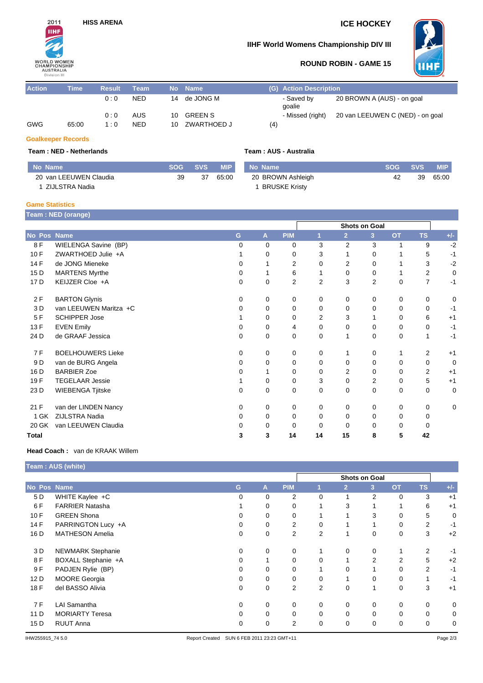# **HISS ARENA ICE HOCKEY**



### **IIHF World Womens Championship DIV III**



### **ROUND ROBIN - GAME 15**

| <b>Action</b> | Time' | <b>Result</b> | Team       |    | No Name        | (G) Action Description                               |
|---------------|-------|---------------|------------|----|----------------|------------------------------------------------------|
|               |       | 0:0           | <b>NED</b> | 14 | de JONG M      | 20 BROWN A (AUS) - on goal<br>- Saved by<br>qoalie   |
|               |       | 0:0           | AUS        | 10 | <b>GREEN S</b> | 20 van LEEUWEN C (NED) - on goal<br>- Missed (right) |
| GWG           | 65:00 | 1:0           | <b>NED</b> | 10 | ZWARTHOED J    | (4)                                                  |

#### **Goalkeeper Records**

#### **Team : NED - Netherlands**

| No Name                | <b>SOG</b> | <b>SVS</b> | <b>MIP</b> | No Name              | <b>SOG</b> | SVS <b>SVS</b> | <b>MIP</b> |
|------------------------|------------|------------|------------|----------------------|------------|----------------|------------|
| 20 van LEEUWEN Claudia | 39         | 37         | 65:00      | 20 BROWN Ashleigh    | 42         | 39             | 65:00      |
| ZIJLSTRA Nadia         |            |            |            | <b>BRUSKE Kristv</b> |            |                |            |

### **Game Statistics**

**Team : NED (orange)**

|              |                          |   |          | Shots on Goal  |                |                |                |           |                |       |  |
|--------------|--------------------------|---|----------|----------------|----------------|----------------|----------------|-----------|----------------|-------|--|
| No Pos Name  |                          | G | A        | <b>PIM</b>     |                | $\overline{2}$ | 3              | <b>OT</b> | <b>TS</b>      | $+/-$ |  |
| 8 F          | WIELENGA Savine (BP)     | 0 | $\Omega$ | 0              | 3              | 2              | 3              | 1         | 9              | $-2$  |  |
| 10F          | ZWARTHOED Julie +A       |   | 0        | 0              | 3              |                | 0              |           | 5              | $-1$  |  |
| 14 F         | de JONG Mieneke          | 0 |          | 2              | 0              | 2              | 0              |           | 3              | $-2$  |  |
| 15 D         | <b>MARTENS Myrthe</b>    | 0 |          | 6              |                | 0              | 0              |           | 2              | 0     |  |
| 17 D         | KEIJZER Cloe +A          | 0 | 0        | $\overline{2}$ | $\overline{2}$ | 3              | $\overline{2}$ | 0         | $\overline{7}$ | $-1$  |  |
| 2F           | <b>BARTON Glynis</b>     | 0 | 0        | 0              | 0              | 0              | 0              | 0         | 0              | 0     |  |
| 3 D          | van LEEUWEN Maritza +C   | 0 | 0        | 0              | 0              | 0              | 0              | 0         | 0              | $-1$  |  |
| 5F           | <b>SCHIPPER Jose</b>     |   | 0        | 0              | $\overline{2}$ | 3              |                | $\Omega$  | 6              | $+1$  |  |
| 13 F         | <b>EVEN Emily</b>        | 0 | 0        | 4              | $\Omega$       | 0              | 0              | 0         | 0              | $-1$  |  |
| 24 D         | de GRAAF Jessica         | 0 | 0        | 0              | 0              |                | 0              | $\Omega$  | 1              | $-1$  |  |
| 7 F          | <b>BOELHOUWERS Lieke</b> | 0 | 0        | 0              | 0              |                | 0              |           | 2              | $+1$  |  |
| 9 D          | van de BURG Angela       | 0 | $\Omega$ | 0              | $\Omega$       | $\Omega$       | 0              | 0         | 0              | 0     |  |
| 16 D         | <b>BARBIER Zoe</b>       | 0 |          | $\Omega$       | $\Omega$       | 2              | $\Omega$       | 0         | $\overline{2}$ | $+1$  |  |
| 19F          | <b>TEGELAAR Jessie</b>   |   | $\Omega$ | 0              | 3              | 0              | 2              | 0         | 5              | $+1$  |  |
| 23 D         | <b>WIEBENGA Tjitske</b>  | 0 | 0        | 0              | 0              | 0              | 0              | $\Omega$  | 0              | 0     |  |
| 21 F         | van der LINDEN Nancy     | 0 | 0        | 0              | 0              | 0              | 0              | 0         | 0              | 0     |  |
| 1 GK         | ZIJLSTRA Nadia           | 0 | 0        | 0              | $\Omega$       | 0              | 0              | 0         | $\Omega$       |       |  |
| 20 GK        | van LEEUWEN Claudia      | 0 | 0        | 0              | $\Omega$       | 0              | 0              | 0         | 0              |       |  |
| <b>Total</b> |                          | 3 | 3        | 14             | 14             | 15             | 8              | 5         | 42             |       |  |

#### **Head Coach :** van de KRAAK Willem

|             | <b>Team : AUS (white)</b> |               |             |                |                |                |                |                |                |       |
|-------------|---------------------------|---------------|-------------|----------------|----------------|----------------|----------------|----------------|----------------|-------|
|             |                           | Shots on Goal |             |                |                |                |                |                |                |       |
| No Pos Name |                           | G             | A           | <b>PIM</b>     |                | $\overline{2}$ | 3 <sup>2</sup> | <b>OT</b>      | <b>TS</b>      | $+/-$ |
| 5 D         | WHITE Kaylee +C           | $\Omega$      | 0           | 2              | 0              | 1              | 2              | $\Omega$       | 3              | $+1$  |
| 6 F         | <b>FARRIER Natasha</b>    |               | 0           | 0              | 1              | 3              |                |                | 6              | $+1$  |
| 10F         | <b>GREEN Shona</b>        | $\Omega$      | 0           | 0              |                |                | 3              | $\Omega$       | 5              | 0     |
| 14 F        | PARRINGTON Lucy +A        | $\Omega$      | 0           | 2              | 0              |                |                | $\Omega$       | $\overline{2}$ | $-1$  |
| 16 D        | <b>MATHESON Amelia</b>    | 0             | 0           | $\overline{2}$ | $\overline{2}$ | 1              | 0              | 0              | 3              | $+2$  |
| 3 D         | <b>NEWMARK Stephanie</b>  | 0             | 0           | 0              |                | 0              | 0              |                | $\overline{2}$ | $-1$  |
| 8F          | BOXALL Stephanie +A       | 0             |             | 0              | 0              |                | $\overline{2}$ | $\overline{2}$ | 5              | $+2$  |
| 9 F         | PADJEN Rylie (BP)         | 0             | 0           | 0              |                | 0              |                | 0              | 2              | $-1$  |
| 12 D        | <b>MOORE</b> Georgia      | 0             | 0           | 0              | 0              |                | 0              | 0              | 1              | $-1$  |
| 18 F        | del BASSO Alivia          | $\mathbf 0$   | $\mathbf 0$ | $\overline{2}$ | $\overline{2}$ | $\mathbf 0$    | 1              | 0              | 3              | $+1$  |
| 7 F         | <b>LAI Samantha</b>       | 0             | 0           | 0              | 0              | 0              | 0              | 0              | 0              | 0     |
| 11 D        | <b>MORIARTY Teresa</b>    | 0             | 0           | 0              | 0              | 0              | 0              | 0              | 0              | 0     |
| 15 D        | <b>RUUT Anna</b>          | 0             | 0           | $\overline{2}$ | 0              | 0              | 0              | 0              | 0              | 0     |